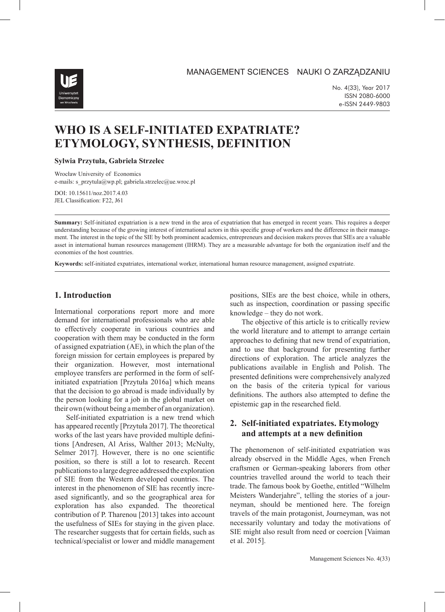MANAGEMENT SCIENCES NAUKI O ZARZĄDZANIU



No. 4(33), Year 2017 ISSN 2080-6000 e-ISSN 2449-9803

# **WHO IS A SELF-INITIATED EXPATRIATE? ETYMOLOGY, SYNTHESIS, DEFINITION**

#### **Sylwia Przytuła, Gabriela Strzelec**

Wrocław University of Economics e-mails: s\_przytula@wp.pl; gabriela.strzelec@ue.wroc.pl

DOI: 10.15611/noz.2017.4.03 JEL Classification: F22, J61

**Summary:** Self-initiated expatriation is a new trend in the area of expatriation that has emerged in recent years. This requires a deeper understanding because of the growing interest of international actors in this specific group of workers and the difference in their management. The interest in the topic of the SIE by both prominent academics, entrepreneurs and decision makers proves that SIEs are a valuable asset in international human resources management (IHRM). They are a measurable advantage for both the organization itself and the economies of the host countries.

**Keywords:** self-initiated expatriates, international worker, international human resource management, assigned expatriate.

## **1. Introduction**

International corporations report more and more demand for international professionals who are able to effectively cooperate in various countries and cooperation with them may be conducted in the form of assigned expatriation (AE), in which the plan of the foreign mission for certain employees is prepared by their organization. However, most international employee transfers are performed in the form of selfinitiated expatriation [Przytuła 2016a] which means that the decision to go abroad is made individually by the person looking for a job in the global market on their own (without being a member of an organization).

Self-initiated expatriation is a new trend which has appeared recently [Przytuła 2017]. The theoretical works of the last years have provided multiple definitions [Andresen, Al Ariss, Walther 2013; McNulty, Selmer 2017]. However, there is no one scientific position, so there is still a lot to research. Recent publications to a large degree addressed the exploration of SIE from the Western developed countries. The interest in the phenomenon of SIE has recently increased significantly, and so the geographical area for exploration has also expanded. The theoretical contribution of P. Tharenou [2013] takes into account the usefulness of SIEs for staying in the given place. The researcher suggests that for certain fields, such as technical/specialist or lower and middle management

positions, SIEs are the best choice, while in others, such as inspection, coordination or passing specific knowledge – they do not work.

The objective of this article is to critically review the world literature and to attempt to arrange certain approaches to defining that new trend of expatriation, and to use that background for presenting further directions of exploration. The article analyzes the publications available in English and Polish. The presented definitions were comprehensively analyzed on the basis of the criteria typical for various definitions. The authors also attempted to define the epistemic gap in the researched field.

## **2. Self-initiated expatriates. Etymology and attempts at a new definition**

The phenomenon of self-initiated expatriation was already observed in the Middle Ages, when French craftsmen or German-speaking laborers from other countries travelled around the world to teach their trade. The famous book by Goethe, entitled "Wilhelm Meisters Wanderjahre", telling the stories of a journeyman, should be mentioned here. The foreign travels of the main protagonist, Journeyman, was not necessarily voluntary and today the motivations of SIE might also result from need or coercion [Vaiman et al. 2015].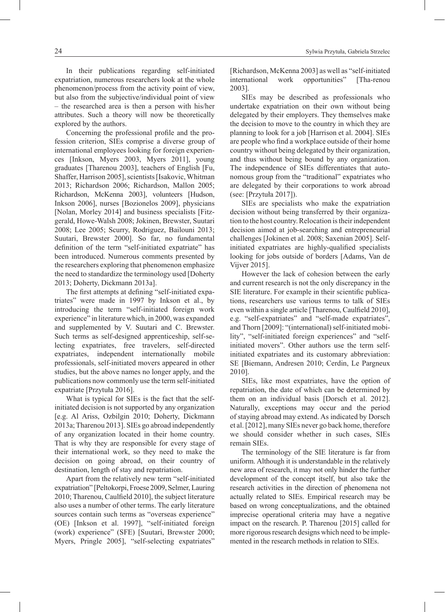In their publications regarding self-initiated expatriation, numerous researchers look at the whole phenomenon/process from the activity point of view, but also from the subjective/individual point of view – the researched area is then a person with his/her attributes. Such a theory will now be theoretically explored by the authors.

Concerning the professional profile and the profession criterion, SIEs comprise a diverse group of international employees looking for foreign experiences [Inkson, Myers 2003, Myers 2011], young graduates [Tharenou 2003], teachers of English [Fu, Shaffer, Harrison 2005], scientists [Isakovic, Whitman 2013; Richardson 2006; Richardson, Mallon 2005; Richardson, McKenna 2003], volunteers [Hudson, Inkson 2006], nurses [Bozionelos 2009], physicians [Nolan, Morley 2014] and business specialists [Fitzgerald, Howe-Walsh 2008; Jokinen, Brewster, Suutari 2008; Lee 2005; Scurry, Rodriguez, Bailouni 2013; Suutari, Brewster 2000]. So far, no fundamental definition of the term "self-initiated expatriate" has been introduced. Numerous comments presented by the researchers exploring that phenomenon emphasize the need to standardize the terminology used [Doherty 2013; Doherty, Dickmann 2013a].

The first attempts at defining "self-initiated expatriates" were made in 1997 by Inkson et al., by introducing the term "self-initiated foreign work experience" in literature which, in 2000, was expanded and supplemented by V. Suutari and C. Brewster. Such terms as self-designed apprenticeship, self-selecting expatriates, free travelers, self-directed expatriates, independent internationally mobile professionals, self-initiated movers appeared in other studies, but the above names no longer apply, and the publications now commonly use the term self-initiated expatriate [Przytuła 2016].

What is typical for SIEs is the fact that the selfinitiated decision is not supported by any organization [e.g. Al Ariss, Ozbilgin 2010; Doherty, Dickmann 2013a; Tharenou 2013]. SIEs go abroad independently of any organization located in their home country. That is why they are responsible for every stage of their international work, so they need to make the decision on going abroad, on their country of destination, length of stay and repatriation.

Apart from the relatively new term "self-initiated expatriation" [Peltokorpi, Froese 2009, Selmer, Lauring 2010; Tharenou, Caulfield 2010], the subject literature also uses a number of other terms. The early literature sources contain such terms as "overseas experience" (OE) [Inkson et al. 1997], "self-initiated foreign (work) experience" (SFE) [Suutari, Brewster 2000; Myers, Pringle 2005], "self-selecting expatriates"

[Richardson, McKenna 2003] as well as "self-initiated international work opportunities" [Tha-renou 2003].

SIEs may be described as professionals who undertake expatriation on their own without being delegated by their employers. They themselves make the decision to move to the country in which they are planning to look for a job [Harrison et al. 2004]. SIEs are people who find a workplace outside of their home country without being delegated by their organization, and thus without being bound by any organization. The independence of SIEs differentiates that autonomous group from the "traditional" expatriates who are delegated by their corporations to work abroad (see: [Przytuła 2017]).

SIEs are specialists who make the expatriation decision without being transferred by their organization to the host country. Relocation is their independent decision aimed at job-searching and entrepreneurial challenges [Jokinen et al. 2008; Saxenian 2005]. Selfinitiated expatriates are highly-qualified specialists looking for jobs outside of borders [Adams, Van de Vijver 2015].

However the lack of cohesion between the early and current research is not the only discrepancy in the SIE literature. For example in their scientific publications, researchers use various terms to talk of SIEs even within a single article [Tharenou, Caulfield 2010], e.g. "self-expatriates" and "self-made expatriates", and Thorn [2009]: "(international) self-initiated mobility", "self-initiated foreign experiences" and "selfinitiated movers". Other authors use the term selfinitiated expatriates and its customary abbreviation: SE [Biemann, Andresen 2010; Cerdin, Le Pargneux 2010].

SIEs, like most expatriates, have the option of repatriation, the date of which can be determined by them on an individual basis [Dorsch et al. 2012]. Naturally, exceptions may occur and the period of staying abroad may extend. As indicated by Dorsch et al. [2012], many SIEs never go back home, therefore we should consider whether in such cases, SIEs remain SIEs.

The terminology of the SIE literature is far from uniform. Although it is understandable in the relatively new area of research, it may not only hinder the further development of the concept itself, but also take the research activities in the direction of phenomena not actually related to SIEs. Empirical research may be based on wrong conceptualizations, and the obtained imprecise operational criteria may have a negative impact on the research. P. Tharenou [2015] called for more rigorous research designs which need to be implemented in the research methods in relation to SIEs.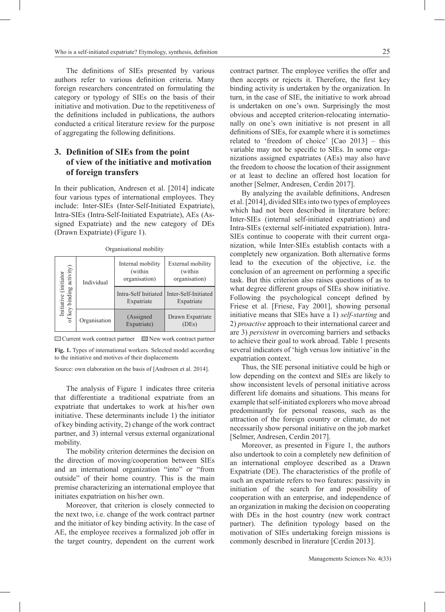The definitions of SIEs presented by various authors refer to various definition criteria. Many foreign researchers concentrated on formulating the category or typology of SIEs on the basis of their initiative and motivation. Due to the repetitiveness of the definitions included in publications, the authors conducted a critical literature review for the purpose of aggregating the following definitions.

## **3. Definition of SIEs from the point of view of the initiative and motivation of foreign transfers**

In their publication, Andresen et al. [2014] indicate four various types of international employees. They include: Inter-SIEs (Inter-Self-Initiated Expatriate), Intra-SIEs (Intra-Self-Initiated Expatriate), AEs (Assigned Expatriate) and the new category of DEs (Drawn Expatriate) (Figure 1).

| Initiative (initiator<br>of key binding activity) | Individual   | Internal mobility<br>(within<br>organisation) | External mobility<br>(within<br>organisation)             |  |  |  |
|---------------------------------------------------|--------------|-----------------------------------------------|-----------------------------------------------------------|--|--|--|
|                                                   |              | Expatriate                                    | Intra-Self Initiated   Inter-Self-Initiated<br>Expatriate |  |  |  |
|                                                   | Organisation | (Assigned<br>Expatriate)                      | Drawn Expatriate<br>(DES)                                 |  |  |  |

Organisational mobility

 $\Box$  Current work contract partner  $\Box$  New work contract partner

**Fig. 1.** Types of international workers. Selected model according to the initiative and motives of their displacements

Source: own elaboration on the basis of [Andresen et al. 2014].

The analysis of Figure 1 indicates three criteria that differentiate a traditional expatriate from an expatriate that undertakes to work at his/her own initiative. These determinants include 1) the initiator of key binding activity, 2) change of the work contract partner, and 3) internal versus external organizational mobility.

The mobility criterion determines the decision on the direction of moving/cooperation between SIEs and an international organization "into" or "from outside" of their home country. This is the main premise characterizing an international employee that initiates expatriation on his/her own.

Moreover, that criterion is closely connected to the next two, i.e. change of the work contract partner and the initiator of key binding activity. In the case of AE, the employee receives a formalized job offer in the target country, dependent on the current work

contract partner. The employee verifies the offer and then accepts or rejects it. Therefore, the first key binding activity is undertaken by the organization. In turn, in the case of SIE, the initiative to work abroad

is undertaken on one's own. Surprisingly the most obvious and accepted criterion-relocating internationally on one's own initiative is not present in all definitions of SIEs, for example where it is sometimes related to 'freedom of choice' [Cao 2013] – this variable may not be specific to SIEs. In some organizations assigned expatriates (AEs) may also have the freedom to choose the location of their assignment or at least to decline an offered host location for another [Selmer, Andresen, Cerdin 2017].

By analyzing the available definitions, Andresen et al. [2014], divided SIEs into two types of employees which had not been described in literature before: Inter-SIEs (internal self-initiated expatriation) and Intra-SIEs (external self-initiated expatriation). Intra-SIEs continue to cooperate with their current organization, while Inter-SIEs establish contacts with a completely new organization. Both alternative forms lead to the execution of the objective, i.e. the conclusion of an agreement on performing a specific task. But this criterion also raises questions of as to what degree different groups of SIEs show initiative. Following the psychological concept defined by Friese et al. [Friese, Fay 2001], showing personal initiative means that SIEs have a 1) *self-starting* and 2) *proactive* approach to their international career and are 3) *persistent* in overcoming barriers and setbacks to achieve their goal to work abroad. Table 1 presents several indicators of 'high versus low initiative' in the expatriation context.

Thus, the SIE personal initiative could be high or low depending on the context and SIEs are likely to show inconsistent levels of personal initiative across different life domains and situations. This means for example that self-initiated explorers who move abroad predominantly for personal reasons, such as the attraction of the foreign country or climate, do not necessarily show personal initiative on the job market [Selmer, Andresen, Cerdin 2017].

Moreover, as presented in Figure 1, the authors also undertook to coin a completely new definition of an international employee described as a Drawn Expatriate (DE). The characteristics of the profile of such an expatriate refers to two features: passivity in initiation of the search for and possibility of cooperation with an enterprise, and independence of an organization in making the decision on cooperating with DEs in the host country (new work contract partner). The definition typology based on the motivation of SIEs undertaking foreign missions is commonly described in literature [Cerdin 2013].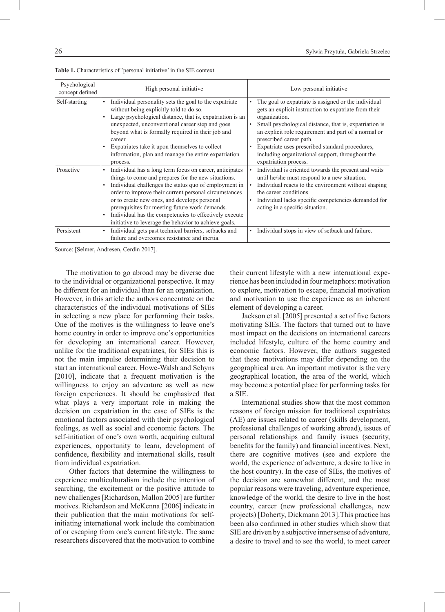| Psychological<br>concept defined | High personal initiative                                                                                                                                                                                                                                                                                                                                                                                                                                           | Low personal initiative                                                                                                                                                                                                                                                                                                                                                                                     |  |
|----------------------------------|--------------------------------------------------------------------------------------------------------------------------------------------------------------------------------------------------------------------------------------------------------------------------------------------------------------------------------------------------------------------------------------------------------------------------------------------------------------------|-------------------------------------------------------------------------------------------------------------------------------------------------------------------------------------------------------------------------------------------------------------------------------------------------------------------------------------------------------------------------------------------------------------|--|
| Self-starting                    | Individual personality sets the goal to the expatriate<br>$\bullet$<br>without being explicitly told to do so.<br>Large psychological distance, that is, expatriation is an<br>unexpected, unconventional career step and goes<br>beyond what is formally required in their job and<br>career.<br>Expatriates take it upon themselves to collect<br>information, plan and manage the entire expatriation<br>process.                                               | The goal to expatriate is assigned or the individual<br>gets an explicit instruction to expatriate from their<br>organization.<br>Small psychological distance, that is, expatriation is<br>an explicit role requirement and part of a normal or<br>prescribed career path.<br>Expatriate uses prescribed standard procedures,<br>including organizational support, throughout the<br>expatriation process. |  |
| Proactive                        | Individual has a long term focus on career, anticipates<br>$\bullet$<br>things to come and prepares for the new situations.<br>Individual challenges the status quo of employment in<br>order to improve their current personal circumstances<br>or to create new ones, and develops personal<br>prerequisites for meeting future work demands.<br>Individual has the competencies to effectively execute<br>initiative to leverage the behavior to achieve goals. | Individual is oriented towards the present and waits<br>until he/she must respond to a new situation.<br>Individual reacts to the environment without shaping<br>the career conditions.<br>Individual lacks specific competencies demanded for<br>acting in a specific situation.                                                                                                                           |  |
| Persistent                       | Individual gets past technical barriers, setbacks and<br>$\bullet$<br>failure and overcomes resistance and inertia.                                                                                                                                                                                                                                                                                                                                                | Individual stops in view of setback and failure.                                                                                                                                                                                                                                                                                                                                                            |  |

**Table 1.** Characteristics of 'personal initiative' in the SIE context

Source: [Selmer, Andresen, Cerdin 2017].

The motivation to go abroad may be diverse due to the individual or organizational perspective. It may be different for an individual than for an organization. However, in this article the authors concentrate on the characteristics of the individual motivations of SIEs in selecting a new place for performing their tasks. One of the motives is the willingness to leave one's home country in order to improve one's opportunities for developing an international career. However, unlike for the traditional expatriates, for SIEs this is not the main impulse determining their decision to start an international career. Howe-Walsh and Schyns [2010], indicate that a frequent motivation is the willingness to enjoy an adventure as well as new foreign experiences. It should be emphasized that what plays a very important role in making the decision on expatriation in the case of SIEs is the emotional factors associated with their psychological feelings, as well as social and economic factors. The self-initiation of one's own worth, acquiring cultural experiences, opportunity to learn, development of confidence, flexibility and international skills, result from individual expatriation.

 Other factors that determine the willingness to experience multiculturalism include the intention of searching, the excitement or the positive attitude to new challenges [Richardson, Mallon 2005] are further motives. Richardson and McKenna [2006] indicate in their publication that the main motivations for selfinitiating international work include the combination of or escaping from one's current lifestyle. The same researchers discovered that the motivation to combine their current lifestyle with a new international experience has been included in four metaphors: motivation to explore, motivation to escape, financial motivation and motivation to use the experience as an inherent element of developing a career.

Jackson et al. [2005] presented a set of five factors motivating SIEs. The factors that turned out to have most impact on the decisions on international careers included lifestyle, culture of the home country and economic factors. However, the authors suggested that these motivations may differ depending on the geographical area. An important motivator is the very geographical location, the area of the world, which may become a potential place for performing tasks for a SIE.

International studies show that the most common reasons of foreign mission for traditional expatriates (AE) are issues related to career (skills development, professional challenges of working abroad), issues of personal relationships and family issues (security, benefits for the family) and financial incentives. Next, there are cognitive motives (see and explore the world, the experience of adventure, a desire to live in the host country). In the case of SIEs, the motives of the decision are somewhat different, and the most popular reasons were traveling, adventure experience, knowledge of the world, the desire to live in the host country, career (new professional challenges, new projects) [Doherty, Dickmann 2013].This practice has been also confirmed in other studies which show that SIE are driven by a subjective inner sense of adventure, a desire to travel and to see the world, to meet career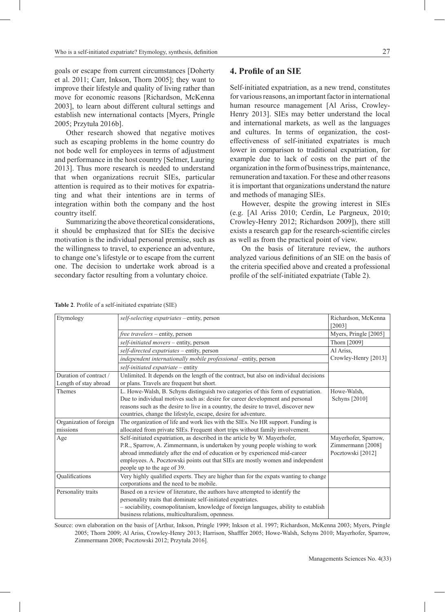goals or escape from current circumstances [Doherty et al. 2011; Carr, Inkson, Thorn 2005]; they want to improve their lifestyle and quality of living rather than move for economic reasons [Richardson, McKenna 2003], to learn about different cultural settings and establish new international contacts [Myers, Pringle 2005; Przytuła 2016b].

Other research showed that negative motives such as escaping problems in the home country do not bode well for employees in terms of adjustment and performance in the host country [Selmer, Lauring 2013]. Thus more research is needed to understand that when organizations recruit SIEs, particular attention is required as to their motives for expatriating and what their intentions are in terms of integration within both the company and the host country itself.

Summarizing the above theoretical considerations, it should be emphasized that for SIEs the decisive motivation is the individual personal premise, such as the willingness to travel, to experience an adventure, to change one's lifestyle or to escape from the current one. The decision to undertake work abroad is a secondary factor resulting from a voluntary choice.

### **4. Profile of an SIE**

Self-initiated expatriation, as a new trend, constitutes for various reasons, an important factor in international human resource management [Al Ariss, Crowley-Henry 2013]. SIEs may better understand the local and international markets, as well as the languages and cultures. In terms of organization, the costeffectiveness of self-initiated expatriates is much lower in comparison to traditional expatriation, for example due to lack of costs on the part of the organization in the form of business trips, maintenance, remuneration and taxation. For these and other reasons it is important that organizations understand the nature and methods of managing SIEs.

However, despite the growing interest in SIEs (e.g. [Al Ariss 2010; Cerdin, Le Pargneux, 2010; Crowley-Henry 2012; Richardson 2009]), there still exists a research gap for the research-scientific circles as well as from the practical point of view.

On the basis of literature review, the authors analyzed various definitions of an SIE on the basis of the criteria specified above and created a professional profile of the self-initiated expatriate (Table 2).

**Table 2**. Profile of a self-initiated expatriate (SIE)

| Etymology                                                       | self-selecting expatriates - entity, person                                           | Richardson, McKenna   |
|-----------------------------------------------------------------|---------------------------------------------------------------------------------------|-----------------------|
|                                                                 |                                                                                       | [2003]                |
|                                                                 | free travelers - entity, person                                                       | Myers, Pringle [2005] |
|                                                                 | self-initiated movers - entity, person                                                | Thorn [2009]          |
|                                                                 | self-directed expatriates - entity, person                                            | Al Ariss,             |
| independent internationally mobile professional -entity, person |                                                                                       | Crowley-Henry [2013]  |
|                                                                 | self-initiated expatriate - entity                                                    |                       |
| Duration of contract /                                          | Unlimited. It depends on the length of the contract, but also on individual decisions |                       |
| Length of stay abroad                                           | or plans. Travels are frequent but short.                                             |                       |
| Themes                                                          | L. Howe-Walsh, B. Schyns distinguish two categories of this form of expatriation.     | Howe-Walsh,           |
|                                                                 | Due to individual motives such as: desire for career development and personal         | Schyns [2010]         |
|                                                                 | reasons such as the desire to live in a country, the desire to travel, discover new   |                       |
|                                                                 | countries, change the lifestyle, escape, desire for adventure.                        |                       |
| Organization of foreign                                         | The organization of life and work lies with the SIEs. No HR support. Funding is       |                       |
| missions                                                        | allocated from private SIEs. Frequent short trips without family involvement.         |                       |
| Age                                                             | Self-initiated expatriation, as described in the article by W. Mayerhofer,            | Mayerhofer, Sparrow,  |
|                                                                 | P.R., Sparrow, A. Zimmermann, is undertaken by young people wishing to work           | Zimmermann [2008]     |
|                                                                 | abroad immediately after the end of education or by experienced mid-career            | Pocztowski [2012]     |
|                                                                 | employees. A. Pocztowski points out that SIEs are mostly women and independent        |                       |
|                                                                 | people up to the age of 39.                                                           |                       |
| Qualifications                                                  | Very highly qualified experts. They are higher than for the expats wanting to change  |                       |
|                                                                 | corporations and the need to be mobile.                                               |                       |
| Personality traits                                              | Based on a review of literature, the authors have attempted to identify the           |                       |
|                                                                 | personality traits that dominate self-initiated expatriates.                          |                       |
|                                                                 | - sociability, cosmopolitanism, knowledge of foreign languages, ability to establish  |                       |
|                                                                 | business relations, multiculturalism, openness.                                       |                       |

Source: own elaboration on the basis of [Arthur, Inkson, Pringle 1999; Inkson et al. 1997; Richardson, McKenna 2003; Myers, Pringle 2005; Thorn 2009; Al Ariss, Crowley-Henry 2013; Harrison, Shafffer 2005; Howe-Walsh, Schyns 2010; Mayerhofer, Sparrow, Zimmermann 2008; Pocztowski 2012; Przytuła 2016].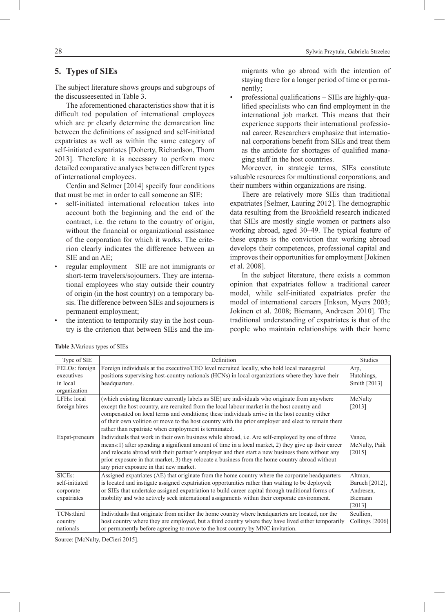## **5. Types of SIEs**

The subject literature shows groups and subgroups of the discusseesented in Table 3.

The aforementioned characteristics show that it is difficult tod population of international employees which are pr clearly determine the demarcation line between the definitions of assigned and self-initiated expatriates as well as within the same category of self-initiated expatriates [Doherty, Richardson, Thorn 2013]. Therefore it is necessary to perform more detailed comparative analyses between different types of international employees.

Cerdin and Selmer [2014] specify four conditions that must be met in order to call someone an SIE:

- self-initiated international relocation takes into account both the beginning and the end of the contract, i.e. the return to the country of origin, without the financial or organizational assistance of the corporation for which it works. The criterion clearly indicates the difference between an SIE and an AE;
- regular employment SIE are not immigrants or short-term travelers/sojourners. They are international employees who stay outside their country of origin (in the host country) on a temporary basis. The difference between SIEs and sojourners is permanent employment;
- the intention to temporarily stay in the host country is the criterion that between SIEs and the im-

migrants who go abroad with the intention of staying there for a longer period of time or permanently;

• professional qualifications – SIEs are highly-qualified specialists who can find employment in the international job market. This means that their experience supports their international professional career. Researchers emphasize that international corporations benefit from SIEs and treat them as the antidote for shortages of qualified managing staff in the host countries.

Moreover, in strategic terms, SIEs constitute valuable resources for multinational corporations, and their numbers within organizations are rising.

There are relatively more SIEs than traditional expatriates [Selmer, Lauring 2012]. The demographic data resulting from the Brookfield research indicated that SIEs are mostly single women or partners also working abroad, aged 30–49. The typical feature of these expats is the conviction that working abroad develops their competences, professional capital and improves their opportunities for employment [Jokinen et al. 2008].

In the subject literature, there exists a common opinion that expatriates follow a traditional career model, while self-initiated expatriates prefer the model of international careers [Inkson, Myers 2003; Jokinen et al. 2008; Biemann, Andresen 2010]. The traditional understanding of expatriates is that of the people who maintain relationships with their home

| Type of SIE              | Definition                                                                                           | <b>Studies</b>  |
|--------------------------|------------------------------------------------------------------------------------------------------|-----------------|
| FELOs: foreign           | Foreign individuals at the executive/CEO level recruited locally, who hold local managerial          | Arp,            |
| executives               | positions supervising host-country nationals (HCNs) in local organizations where they have their     | Hutchings,      |
| in local                 | headquarters.                                                                                        | Smith [2013]    |
| organization             |                                                                                                      |                 |
| LFH <sub>s</sub> : local | (which existing literature currently labels as SIE) are individuals who originate from anywhere      | McNulty         |
| foreign hires            | except the host country, are recruited from the local labour market in the host country and          | [2013]          |
|                          | compensated on local terms and conditions; these individuals arrive in the host country either       |                 |
|                          | of their own volition or move to the host country with the prior employer and elect to remain there  |                 |
|                          | rather than repatriate when employment is terminated.                                                |                 |
| Expat-preneurs           | Individuals that work in their own business while abroad, i.e. Are self-employed by one of three     | Vance,          |
|                          | means:1) after spending a significant amount of time in a local market, 2) they give up their career | McNulty, Paik   |
|                          | and relocate abroad with their partner's employer and then start a new business there without any    | [2015]          |
|                          | prior exposure in that market, 3) they relocate a business from the home country abroad without      |                 |
|                          | any prior exposure in that new market.                                                               |                 |
| SICEs:                   | Assigned expatriates (AE) that originate from the home country where the corporate headquarters      | Altman,         |
| self-initiated           | is located and instigate assigned expatriation opportunities rather than waiting to be deployed;     | Baruch [2012],  |
| corporate                | or SIEs that undertake assigned expatriation to build career capital through traditional forms of    | Andresen,       |
| expatriates              | mobility and who actively seek international assignments within their corporate environment.         | Biemann         |
|                          |                                                                                                      | [2013]          |
| TCNs:third               | Individuals that originate from neither the home country where headquarters are located, nor the     | Scullion.       |
| country                  | host country where they are employed, but a third country where they have lived either temporarily   | Collings [2006] |
| nationals                | or permanently before agreeing to move to the host country by MNC invitation.                        |                 |

**Table 3.**Various types of SIEs

Source: [McNulty, DeCieri 2015].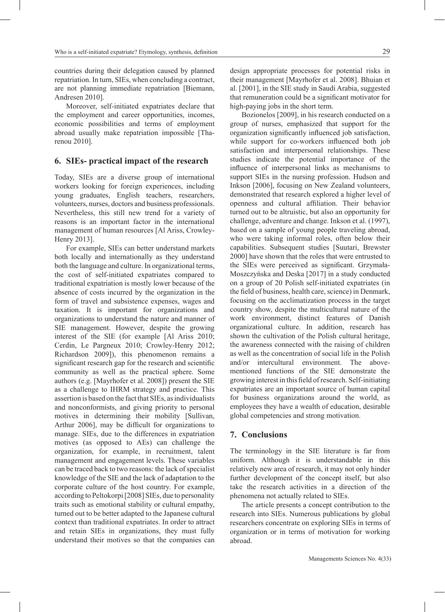countries during their delegation caused by planned repatriation. In turn, SIEs, when concluding a contract, are not planning immediate repatriation [Biemann, Andresen 2010].

Moreover, self-initiated expatriates declare that the employment and career opportunities, incomes, economic possibilities and terms of employment abroad usually make repatriation impossible [Tharenou 2010].

#### **6. SIEs- practical impact of the research**

Today, SIEs are a diverse group of international workers looking for foreign experiences, including young graduates, English teachers, researchers, volunteers, nurses, doctors and business professionals. Nevertheless, this still new trend for a variety of reasons is an important factor in the international management of human resources [Al Ariss, Crowley-Henry 2013].

For example, SIEs can better understand markets both locally and internationally as they understand both the language and culture. In organizational terms, the cost of self-initiated expatriates compared to traditional expatriation is mostly lower because of the absence of costs incurred by the organization in the form of travel and subsistence expenses, wages and taxation. It is important for organizations and organizations to understand the nature and manner of SIE management. However, despite the growing interest of the SIE (for example [Al Ariss 2010; Cerdin, Le Pargneux 2010; Crowley-Henry 2012; Richardson 2009]), this phenomenon remains a significant research gap for the research and scientific community as well as the practical sphere. Some authors (e.g. [Mayrhofer et al. 2008]) present the SIE as a challenge to IHRM strategy and practice. This assertion is based on the fact that SIEs, as individualists and nonconformists, and giving priority to personal motives in determining their mobility [Sullivan, Arthur 2006], may be difficult for organizations to manage. SIEs, due to the differences in expatriation motives (as opposed to AEs) can challenge the organization, for example, in recruitment, talent management and engagement levels. These variables can be traced back to two reasons: the lack of specialist knowledge of the SIE and the lack of adaptation to the corporate culture of the host country. For example, according to Peltokorpi [2008] SIEs, due to personality traits such as emotional stability or cultural empathy, turned out to be better adapted to the Japanese cultural context than traditional expatriates. In order to attract and retain SIEs in organizations, they must fully understand their motives so that the companies can design appropriate processes for potential risks in their management [Mayrhofer et al. 2008]. Bhuian et al. [2001], in the SIE study in Saudi Arabia, suggested that remuneration could be a significant motivator for high-paying jobs in the short term.

Bozionelos [2009], in his research conducted on a group of nurses, emphasized that support for the organization significantly influenced job satisfaction, while support for co-workers influenced both job satisfaction and interpersonal relationships. These studies indicate the potential importance of the influence of interpersonal links as mechanisms to support SIEs in the nursing profession. Hudson and Inkson [2006], focusing on New Zealand volunteers, demonstrated that research explored a higher level of openness and cultural affiliation. Their behavior turned out to be altruistic, but also an opportunity for challenge, adventure and change. Inkson et al. (1997), based on a sample of young people traveling abroad, who were taking informal roles, often below their capabilities. Subsequent studies [Suutari, Brewster 2000] have shown that the roles that were entrusted to the SIEs were perceived as significant. Grzymała-Moszczyńska and Deska [2017] in a study conducted on a group of 20 Polish self-initiated expatriates (in the field of business, health care, science) in Denmark, focusing on the acclimatization process in the target country show, despite the multicultural nature of the work environment, distinct features of Danish organizational culture. In addition, research has shown the cultivation of the Polish cultural heritage, the awareness connected with the raising of children as well as the concentration of social life in the Polish and/or intercultural environment. The abovementioned functions of the SIE demonstrate the growing interest in this field of research. Self-initiating expatriates are an important source of human capital for business organizations around the world, as employees they have a wealth of education, desirable global competencies and strong motivation.

#### **7. Conclusions**

The terminology in the SIE literature is far from uniform. Although it is understandable in this relatively new area of research, it may not only hinder further development of the concept itself, but also take the research activities in a direction of the phenomena not actually related to SIEs.

The article presents a concept contribution to the research into SIEs. Numerous publications by global researchers concentrate on exploring SIEs in terms of organization or in terms of motivation for working abroad.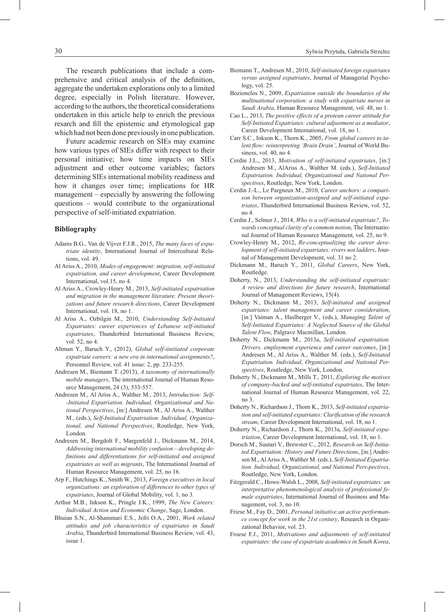The research publications that include a comprehensive and critical analysis of the definition, aggregate the undertaken explorations only to a limited degree, especially in Polish literature. However, according to the authors, the theoretical considerations undertaken in this article help to enrich the previous resarch and fill the epistemic and etymological gap which had not been done previously in one publication.

Future academic research on SIEs may examine how various types of SIEs differ with respect to their personal initiative; how time impacts on SIEs adjustment and other outcome variables; factors determining SIEs international mobility readiness and how it changes over time; implications for HR management – especially by answering the following questions – would contribute to the organizational perspective of self-initiated expatriation.

#### **Bibliography**

- Adams B.G., Van de Vijver F.J.R., 2015, *The many faces of expatriate identity*, International Journal of Intercultural Relations, vol. 49.
- Al Ariss A., 2010, *Modes of engagement: migration, self-initiated expatriation, and career development*, Career Development International, vol.15, no 4.
- Al Ariss A., Crowley-Henry M., 2013, *Self-initiated expatriation and migration in the management literature. Present theorizations and future research directions*, Career Development International, vol. 18, no 1.
- Al Ariss A., Ozbilgin M., 2010, *Understanding Self-Initiated Expatriates: career experiences of Lebanese self-initiated expatriates*, Thunderbird International Business Review, vol. 52, no 4.
- Altman Y., Baruch Y., (2012), *Global self-iinitiated corporate expatriate careers: a new era in international assignments?*, Personnel Review, vol. 41 issue: 2, pp. 233-255.
- Andresen M., Biemann T. (2013), *A taxonomy of internationally mobile managers*, The international Journal of Human Resource Management, 24 (3), 533-557.
- Andresen M., Al Ariss A., Walther M., 2013, *Introduction: Self- -Initiated Expatriation. Individual, Organizational and National Perspectives*, [in:] Andresen M., Al Ariss A., Walther M., (eds.), *Self-Initiated Expatriation. Individual, Organizational, and National Perspectives*, Routledge, New York, London.
- Andresen M., Bergdolt F., Margenfeld J., Dickmann M., 2014, *Addressing international mobility confusion – developing definitions and differentiations for self-initiated and assigned expatriates as well as migrants*, The International Journal of Human Resource Management, vol. 25, no 16.
- Arp F., Hutchings K., Smith W., 2013, *Foreign executives in local organizations: an exploration of differences to other types of expatriates*, Journal of Global Mobility, vol. 1, no 3.
- Arthur M.B., Inkson K., Pringle J.K., 1999, *The New Careers: Individual Action and Economic Change*, Sage, London.
- Bhuian S.N., Al-Shammari E.S., Jefri O.A., 2001, *Work related attitudes and job characteristics of expatriates in Saudi Arabia*, Thunderbird International Business Review, vol. 43, issue 1.
- Biemann T., Andresen M., 2010, *Self-initiated foreign expatriates versus assigned expatriates*, Journal of Managerial Psychology, vol. 25.
- Bozionelos N., 2009, *Expatriation outside the boundaries of the multinational corporation: a study with expatriate nurses in Saudi Arabia*, Human Resource Management, vol. 48, no 1.
- Cao L., 2013, *The positive effects of a protean career attitude for Self-Initiated Expatriates: cultural adjustment as a mediator*, Career Development International, vol. 18, no 1.
- Carr S.C., Inkson K., Thorn K., 2005, *From global careers to talent flow: reinterpreting 'Brain Drain'*, Journal of World Business, vol. 40, no 4.
- Cerdin J.L., 2013, *Motivation of self-initiated expatriates*, [in:] Andresen M., AlAriss A., Walther M. (eds.), *Self-Initiated Expatriation. Individual, Organizational and National Perspectives*, Routledge, New York, London.
- Cerdin J.-L., Le Pargneux M., 2010, *Career anchors: a comparison between organization-assigned and self-initiated expatriates*, Thunderbird International Business Review, vol. 52, no 4.
- Cerdin J., Selmer J., 2014, *Who is a self-initiated expatriate?*, *Towards conceptual clarity of a common notion*, The International Journal of Human Resource Management, vol. 25, no 9.
- Crowley-Henry M., 2012, *Re-conceptualizing the career development of self-initiated expatriates: rivers not ladders*, Journal of Management Development, vol. 31 no 2.
- Dickmann M., Baruch Y., 2011, *Global Careers*, New York, Routledge.
- Doherty, N., 2013, *Understanding the self-initiated expatriate: A review and directions for future research*, International Journal of Management Reviews, 15(4).
- Doherty N., Dickmann M., 2013, *Self-initiated and assigned expatriates: talent management and career consideration*, [in:] Vaiman A., Haslberger V., (eds.), *Managing Talent of Self-Initiated Expatriates: A Neglected Source of the Global Talent Flow*, Palgrave Macmillan, London.
- Doherty N., Dickmann M., 2013a, *Self-initiated expatriation. Drivers, employment experience and career outcomes*, [in:] Andresen M., Al Ariss A., Walther M. (eds.), *Self-Initiated Expatriation. Individual, Organizational and National Perspectives*, Routledge, New York, London.
- Doherty N., Dickmann M., Mills T., 2011, *Exploring the motives of company-backed and self-initiated expatriates*, The International Journal of Human Resource Management, vol. 22, no 3.
- Doherty N., Richardson J., Thorn K., 2013, *Self-initiated expatriation and self-initiated expatriates: Clarification of the research stream*, Career Development International, vol. 18, no 1.
- Doherty N., Richardson J., Thorn K., 2013a, *Self-initiated expatriation*, Career Development International, vol. 18, no 1.
- Dorsch M., Suutari V., Brewster C., 2012, *Research on Self-Initiated Expatriation: History and Future Directions*, [in:] Andresen M., Al Ariss A., Walther M. (eds.), *Self-Initiated Expatriation. Individual, Organizational, and National Pers-pectives*, Routledge, New York, London.
- Fitzgerald C., Howe-Walsh L., 2008, *Self-initiated expatriates: an interpretative phenomenological analysis of professional female expatriates*, International Journal of Business and Management, vol. 3, no 10.
- Friese M., Fay D., 2001, *Personal initiative:an active performance concept for work in the 21st century*, Research in Organizational Behavior, vol. 23.
- Froese F.J., 2011, *Motivations and adjustments of self-initiated expatriates: the case of expatriate academics in South Korea*,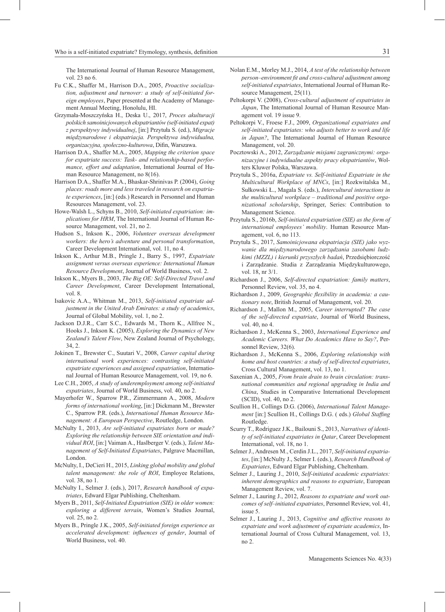The International Journal of Human Resource Management, vol. 23 no 6.

- Fu C.K., Shaffer M., Harrison D.A., 2005, *Proactive socialization, adjustment and turnover: a study of self-initiated foreign employees*, Paper presented at the Academy of Management Annual Meeting, Honolulu, HI.
- Grzymała-Moszczyńska H., Deska U., 2017, *Proces akulturacji polskich samoinicjowanych ekspatriantów (self-initiated expat) z perspektywy indywidualnej*, [in:] Przytuła S. (ed.), *Migracje międzynarodowe i ekspatriacja. Perspektywa indywidualna, organizacyjna, społeczno-kulturowa*, Difin, Warszawa.
- Harrison D.A., Shaffer M.A., 2005, *Mapping the criterion space for expatriate success: Task- and relationship-based performance, effort and adaptation*, International Journal of Human Resource Management, no 8(16).
- Harrison D.A., Shaffer M.A., Bhaskar-Shrinivas P. (2004), *Going places: roads more and less traveled in research on expatriate experiences*, [in:] (eds.) Research in Personnel and Human Resources Management, vol. 23.
- Howe-Walsh L., Schyns B., 2010, *Self-initiated expatriation: implications for HRM*, The International Journal of Human Resource Management, vol. 21, no 2.
- Hudson S., Inkson K., 2006, *Volunteer overseas development workers: the hero's adventure and personal transformation*, Career Development International, vol. 11, no 4.
- Inkson K., Arthur M.B., Pringle J., Barry S., 1997, *Expatriate assignment versus overseas experience: International Human Resource Development*, Journal of World Business, vol. 2.
- Inkson K., Myers B., 2003, *The Big OE: Self-Directed Travel and Career Development*, Career Development International, vol. 8.
- Isakovic A.A., Whitman M., 2013, *Self-initiated expatriate adjustment in the United Arab Emirates: a study of academics*, Journal of Global Mobility, vol. 1, no 2.
- Jackson D.J.R., Carr S.C., Edwards M., Thorn K., Allfree N., Hooks J., Inkson K. (2005), *Exploring the Dynamics of New Zealand's Talent Flow*, New Zealand Journal of Psychology, 34, 2.
- Jokinen T., Brewster C., Suutari V., 2008, *Career capital during international work experiences: contrasting self-initiated expatriate experiences and assigned expatriation*, International Journal of Human Resource Management, vol. 19, no 6.
- Lee C.H., 2005, *A study of underemployment among self-initiated expatriates*, Journal of World Business, vol. 40, no 2.
- Mayerhofer W., Sparrow P.R., Zimmermann A., 2008, *Modern forms of international working*, [in:] Dickmann M., Brewster C., Sparrow P.R. (eds.), *International Human Resource Management: A European Perspective*, Routledge, London.
- McNulty I., 2013, *Are self-initiated expatriates born or made? Exploring the relationship between SIE orientation and individual ROI*, [in:] Vaiman A., Haslberger V. (eds.), *Talent Management of Self-Initiated Expatriates*, Palgrave Macmillan, London.
- McNulty, I., DeCieri H., 2015, *Linking global mobility and global talent management: the role of ROI*, Employee Relations, vol. 38, no 1.
- McNulty I., Selmer J. (eds.), 2017, *Research handbook of expatriates*, Edward Elgar Publishing, Cheltenham.
- Myers B., 2011, *Self-Initiated Expatriation (SIE) in older women: exploring a different terrain*, Women's Studies Journal, vol. 25, no 2.
- Myers B., Pringle J.K., 2005, *Self-initiated foreign experience as accelerated development: influences of gender*, Journal of World Business, vol. 40.
- Nolan E.M., Morley M.J., 2014, *A test of the relationship between person–environment fit and cross-cultural adjustment among self-initiated expatriates*, International Journal of Human Resource Management, 25(11).
- Peltokorpi V. (2008), *Cross-cultural adjustment of expatriates in Japan*, The International Journal of Human Resource Management vol. 19 issue 9.
- Peltokorpi V., Froese F.J., 2009, *Organizational expatriates and self-initiated expatriates: who adjusts better to work and life in Japan?*, The International Journal of Human Resource Management, vol. 20.
- Pocztowski A., 2012, *Zarządzanie misjami zagranicznymi: organizacyjne i indywidualne aspekty pracy ekspatriantów*, Wolters Kluwer Polska, Warszawa.
- Przytuła S., 2016a, *Expatriate vs. Self-initiated Expatriate in the Multicultural Workplace of MNCs*, [in:] Rozkwitalska M., Sułkowski Ł., Magala S. (eds.), *Intercultural interactions in the multicultural workplace – traditional and positive organizational scholarship*, Springer, Series: Contribution to Management Science.
- Przytuła S., 2016b, *Self-initiated expatriation (SIE) as the form of international employees' mobility*. Human Resource Management, vol. 6, no 113.
- Przytuła S., 2017, *Samoinicjowana ekspatriacja (SIE) jako wyzwanie dla międzynarodowego zarządzania zasobami ludzkimi (MZZL) i kierunki przyszłych badań*, Przedsiębiorczość i Zarządzanie. Studia z Zarządzania Międzykulturowego, vol. 18, nr 3/1.
- Richardson J., 2006, *Self-directed expatriation: family matters*, Personnel Review, vol. 35, no 4.
- Richardson J., 2009, *Geographic flexibility in academia: a cautionary note*, British Journal of Management, vol. 20.
- Richardson J., Mallon M., 2005, *Career interrupted? The case of the self-directed expatriate*, Journal of World Business, vol. 40, no 4.
- Richardson J., McKenna S., 2003, *International Experience and Academic Careers. What Do Academics Have to Say?*, Personnel Review, 32(6).
- Richardson J., McKenna S., 2006, *Exploring relationship with home and host countries: a study of self-directed expatriates*, Cross Cultural Management, vol. 13, no 1.
- Saxenian A., 2005, *From brain drain to brain circulation: transnational communities and regional upgrading in India and China*, Studies in Comparative International Development (SCID), vol. 40, no 2.
- Scullion H., Collings D.G. (2006), *International Talent Management* [in:] Scullion H., Collings D.G. ( eds.) *Global Staffing*  Routledge.
- Scurry T., Rodriguez J.K., Bailouni S., 2013, *Narratives of identity of self-initiated expatriates in Qatar*, Career Development International, vol. 18, no 1.
- Selmer J., Andresen M., Cerdin J.L., 2017, *Self-initiated expatriates*, [in:] McNulty J., Selmer I. (eds.), *Research Handbook of Expatriates*, Edward Elgar Publishing, Cheltenham.
- Selmer J., Lauring J., 2010, *Self-initiated academic expatriates: inherent demographics and reasons to expatriate*, European Management Review, vol. 7.
- Selmer J., Lauring J., 2012, *Reasons to expatriate and work outcomes of self–initiated expatriates*, Personnel Review, vol. 41, issue 5.
- Selmer J., Lauring J., 2013, *Cognitive and affective reasons to expatriate and work adjustment of expatriate academics*, International Journal of Cross Cultural Management, vol. 13, no 2.